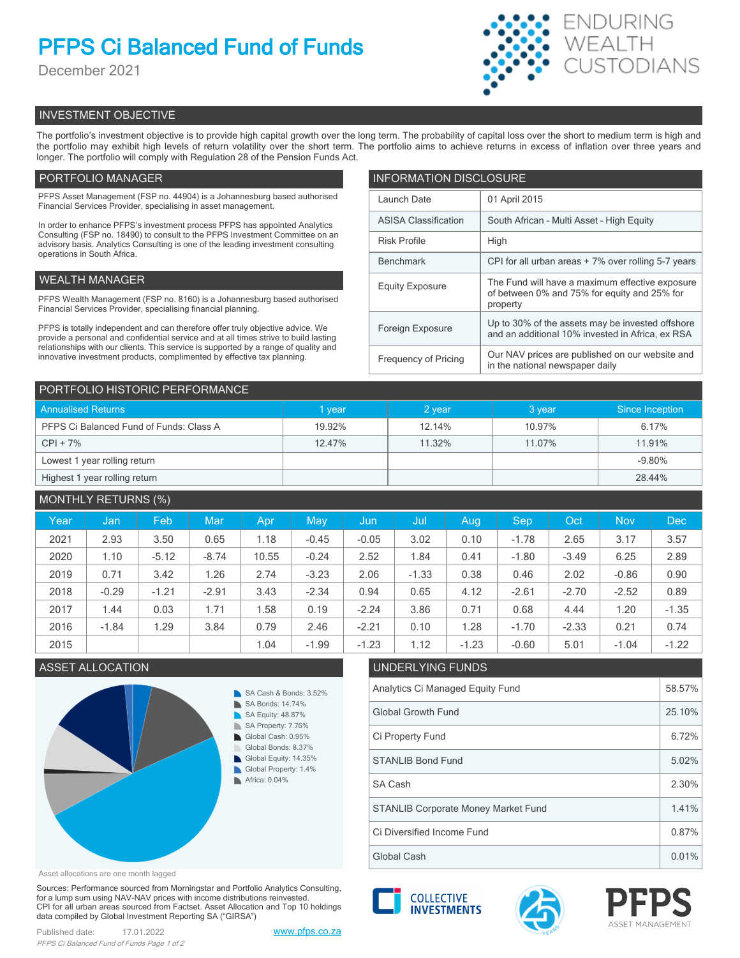# **PFPS Ci Balanced Fund of Funds**

December 2021



# INVESTMENT OBJECTIVE

The portfolio's investment objective is to provide high capital growth over the long term. The probability of capital loss over the short to medium term is high and the portfolio may exhibit high levels of return volatility over the short term. The portfolio aims to achieve returns in excess of inflation over three years and longer. The portfolio will comply with Regulation 28 of the Pension Funds Act.

# PORTFOLIO MANAGER

PFPS Asset Management (FSP no. 44904) is a Johannesburg based authorised Financial Services Provider, specialising in asset management.

In order to enhance PFPS's investment process PFPS has appointed Analytics Consulting (FSP no. 18490) to consult to the PFPS Investment Committee on an advisory basis. Analytics Consulting is one of the leading investment consulting operations in South Africa.

## WEALTH MANAGER

PFPS Wealth Management (FSP no. 8160) is a Johannesburg based authorised Financial Services Provider, specialising financial planning.

PFPS is totally independent and can therefore offer truly objective advice. We provide a personal and confidential service and at all times strive to build lasting relationships with our clients. This service is supported by a range of quality and innovative investment products, complimented by effective tax planning.

| <b>INFORMATION DISCLOSURE</b> |                                                                                                             |  |  |  |  |
|-------------------------------|-------------------------------------------------------------------------------------------------------------|--|--|--|--|
| Launch Date                   | 01 April 2015                                                                                               |  |  |  |  |
| <b>ASISA Classification</b>   | South African - Multi Asset - High Equity                                                                   |  |  |  |  |
| <b>Risk Profile</b>           | High                                                                                                        |  |  |  |  |
| <b>Benchmark</b>              | CPI for all urban areas + 7% over rolling 5-7 years                                                         |  |  |  |  |
| <b>Equity Exposure</b>        | The Fund will have a maximum effective exposure<br>of between 0% and 75% for equity and 25% for<br>property |  |  |  |  |
| Foreign Exposure              | Up to 30% of the assets may be invested offshore<br>and an additional 10% invested in Africa, ex RSA        |  |  |  |  |
| <b>Frequency of Pricing</b>   | Our NAV prices are published on our website and<br>in the national newspaper daily                          |  |  |  |  |

| PORTFOLIO HISTORIC PERFORMANCE          |             |        |        |                 |  |  |  |
|-----------------------------------------|-------------|--------|--------|-----------------|--|--|--|
| <b>Annualised Returns</b>               | <b>vear</b> | 2 year | 3 year | Since Inception |  |  |  |
| PFPS Ci Balanced Fund of Funds: Class A | 19.92%      | 12.14% | 10.97% | 6.17%           |  |  |  |
| $CPI + 7%$                              | 12.47%      | 11.32% | 11.07% | 11.91%          |  |  |  |
| Lowest 1 year rolling return            |             |        |        | $-9.80%$        |  |  |  |
| Highest 1 year rolling return           |             |        |        | 28.44%          |  |  |  |

| <b>MONTHLY RETURNS (%)</b> |         |         |         |       |         |         |         |         |            |         |            |            |
|----------------------------|---------|---------|---------|-------|---------|---------|---------|---------|------------|---------|------------|------------|
| Year                       | Jan     | Feb     | Mar     | Apr   | May     | Jun     | Jul     | Aug     | <b>Sep</b> | Oct     | <b>Nov</b> | <b>Dec</b> |
| 2021                       | 2.93    | 3.50    | 0.65    | 1.18  | $-0.45$ | $-0.05$ | 3.02    | 0.10    | $-1.78$    | 2.65    | 3.17       | 3.57       |
| 2020                       | 1.10    | $-5.12$ | $-8.74$ | 10.55 | $-0.24$ | 2.52    | 1.84    | 0.41    | $-1.80$    | $-3.49$ | 6.25       | 2.89       |
| 2019                       | 0.71    | 3.42    | 1.26    | 2.74  | $-3.23$ | 2.06    | $-1.33$ | 0.38    | 0.46       | 2.02    | $-0.86$    | 0.90       |
| 2018                       | $-0.29$ | $-1.21$ | $-2.91$ | 3.43  | $-2.34$ | 0.94    | 0.65    | 4.12    | $-2.61$    | $-2.70$ | $-2.52$    | 0.89       |
| 2017                       | 1.44    | 0.03    | 1.71    | 1.58  | 0.19    | $-2.24$ | 3.86    | 0.71    | 0.68       | 4.44    | 1.20       | $-1.35$    |
| 2016                       | $-1.84$ | 1.29    | 3.84    | 0.79  | 2.46    | $-2.21$ | 0.10    | 1.28    | $-1.70$    | $-2.33$ | 0.21       | 0.74       |
| 2015                       |         |         |         | 1.04  | $-1.99$ | $-1.23$ | 1.12    | $-1.23$ | $-0.60$    | 5.01    | $-1.04$    | $-1.22$    |

# ASSET ALLOCATION UNDERLYING FUNDS



# Analytics Ci Managed Equity Fund 58.57% Global Growth Fund 25.10% Ci Property Fund 6.72% SA Cash 2.30% STANLIB Bond Fund 5.02%

**COLLECTIVE INVESTMENTS** 

Asset allocations are one month lagged

Sources: Performance sourced from Morningstar and Portfolio Analytics Consulting, for a lump sum using NAV-NAV prices with income distributions reinvested. CPI for all urban areas sourced from Factset. Asset Allocation and Top 10 holdings data compiled by Global Investment Reporting SA ("GIRSA")



Global Cash 0.01% Ci Diversified Income Fund 0.87% STANLIB Corporate Money Market Fund 1.41%